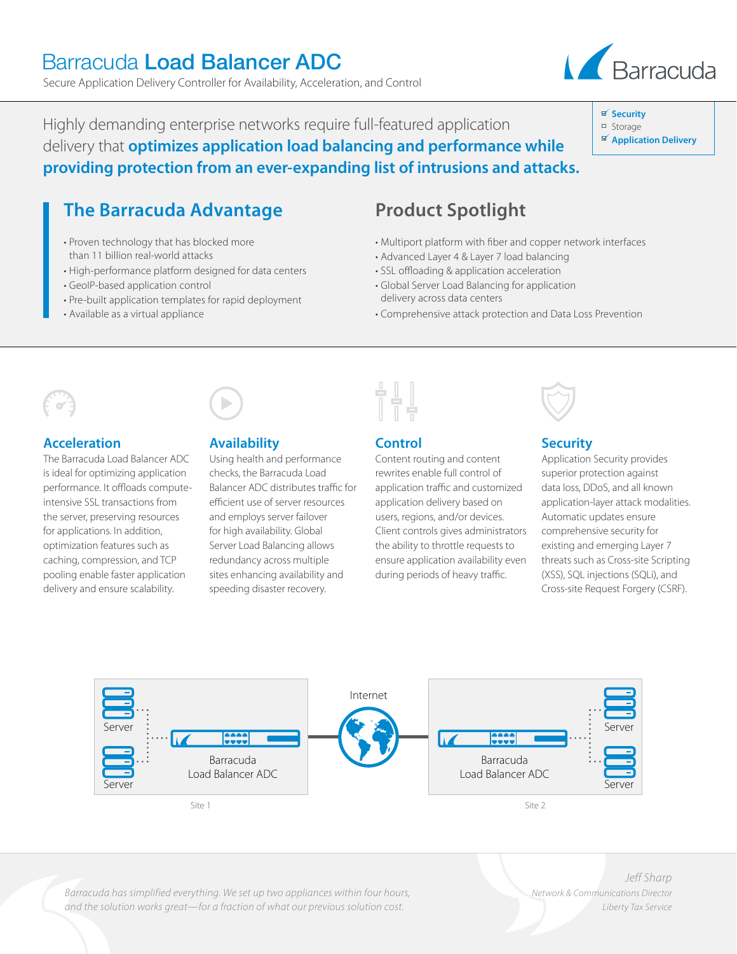# **The Barracuda Advantage** • Proven technology that has blocked more than 11 billion real-world attacks

Highly demanding enterprise networks require full-featured application

Secure Application Delivery Controller for Availability, Acceleration, and Control

Barracuda Load Balancer ADC

delivery that **optimizes application load balancing and performance while providing protection from an ever-expanding list of intrusions and attacks.**

- High-performance platform designed for data centers
- GeoIP-based application control
- Pre-built application templates for rapid deployment
- Available as a virtual appliance

# **Product Spotlight**

- Multiport platform with fiber and copper network interfaces
- Advanced Layer 4 & Layer 7 load balancing
- SSL offloading & application acceleration
- Global Server Load Balancing for application delivery across data centers
- Comprehensive attack protection and Data Loss Prevention

# **Acceleration**

The Barracuda Load Balancer ADC is ideal for optimizing application performance. It offloads computeintensive SSL transactions from the server, preserving resources for applications. In addition, optimization features such as caching, compression, and TCP pooling enable faster application delivery and ensure scalability.

# **Availability**

checks, the Barracuda Load efficient use of server resources and employs server failover for high availability. Global Server Load Balancing allows redundancy across multiple sites enhancing availability and speeding disaster recovery.

Using health and performance Balancer ADC distributes traffic for



## **Control**

Content routing and content rewrites enable full control of application traffic and customized application delivery based on users, regions, and/or devices. Client controls gives administrators the ability to throttle requests to ensure application availability even during periods of heavy traffic.

# **Security**

Application Security provides superior protection against data loss, DDoS, and all known application-layer attack modalities. Automatic updates ensure comprehensive security for existing and emerging Layer 7 threats such as Cross-site Scripting (XSS), SQL injections (SQLi), and Cross-site Request Forgery (CSRF).



*Barracuda has simplified everything. We set up two appliances within four hours, and the solution works great—for a fraction of what our previous solution cost.*

*Jeff Sharp Network & Communications Director Liberty Tax Service*



- Storage
- **Application Delivery**